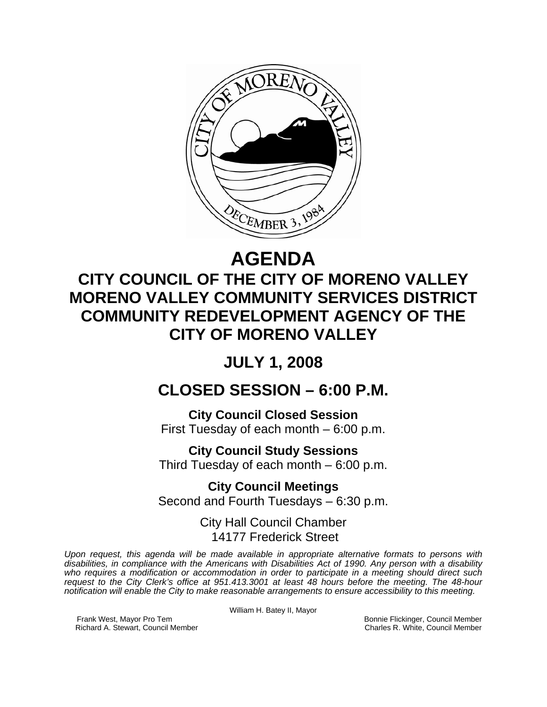

# **AGENDA**

# **CITY COUNCIL OF THE CITY OF MORENO VALLEY MORENO VALLEY COMMUNITY SERVICES DISTRICT COMMUNITY REDEVELOPMENT AGENCY OF THE CITY OF MORENO VALLEY**

# **JULY 1, 2008**

## **CLOSED SESSION – 6:00 P.M.**

**City Council Closed Session**  First Tuesday of each month – 6:00 p.m.

**City Council Study Sessions**  Third Tuesday of each month – 6:00 p.m.

**City Council Meetings**  Second and Fourth Tuesdays – 6:30 p.m.

> City Hall Council Chamber 14177 Frederick Street

*Upon request, this agenda will be made available in appropriate alternative formats to persons with disabilities, in compliance with the Americans with Disabilities Act of 1990. Any person with a disability who requires a modification or accommodation in order to participate in a meeting should direct such request to the City Clerk's office at 951.413.3001 at least 48 hours before the meeting. The 48-hour notification will enable the City to make reasonable arrangements to ensure accessibility to this meeting.* 

William H. Batey II, Mayor

Frank West, Mayor Pro Tem Bonnie Flickinger, Council Member<br>Richard A. Stewart, Council Member **Bonnie Flickinger, Council Member** Charles R. White, Council Member Richard A. Stewart, Council Member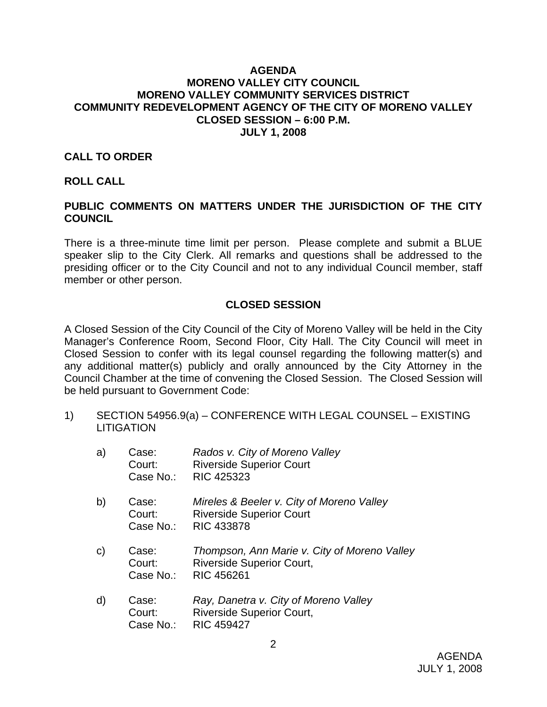#### **AGENDA MORENO VALLEY CITY COUNCIL MORENO VALLEY COMMUNITY SERVICES DISTRICT COMMUNITY REDEVELOPMENT AGENCY OF THE CITY OF MORENO VALLEY CLOSED SESSION – 6:00 P.M. JULY 1, 2008**

#### **CALL TO ORDER**

#### **ROLL CALL**

### **PUBLIC COMMENTS ON MATTERS UNDER THE JURISDICTION OF THE CITY COUNCIL**

There is a three-minute time limit per person. Please complete and submit a BLUE speaker slip to the City Clerk. All remarks and questions shall be addressed to the presiding officer or to the City Council and not to any individual Council member, staff member or other person.

#### **CLOSED SESSION**

A Closed Session of the City Council of the City of Moreno Valley will be held in the City Manager's Conference Room, Second Floor, City Hall. The City Council will meet in Closed Session to confer with its legal counsel regarding the following matter(s) and any additional matter(s) publicly and orally announced by the City Attorney in the Council Chamber at the time of convening the Closed Session. The Closed Session will be held pursuant to Government Code:

1) SECTION 54956.9(a) – CONFERENCE WITH LEGAL COUNSEL – EXISTING **LITIGATION** 

| a)           | Case:<br>Court:<br>Case No.: | Rados v. City of Moreno Valley<br><b>Riverside Superior Court</b><br><b>RIC 425323</b>            |
|--------------|------------------------------|---------------------------------------------------------------------------------------------------|
| b)           | Case:<br>Court:<br>Case No.: | Mireles & Beeler v. City of Moreno Valley<br><b>Riverside Superior Court</b><br><b>RIC 433878</b> |
| $\mathsf{C}$ | Case:<br>Court:<br>Case No.: | Thompson, Ann Marie v. City of Moreno Valley<br><b>Riverside Superior Court,</b><br>RIC 456261    |
| $\mathsf{d}$ | Case:<br>Court:<br>Case No.: | Ray, Danetra v. City of Moreno Valley<br><b>Riverside Superior Court,</b><br><b>RIC 459427</b>    |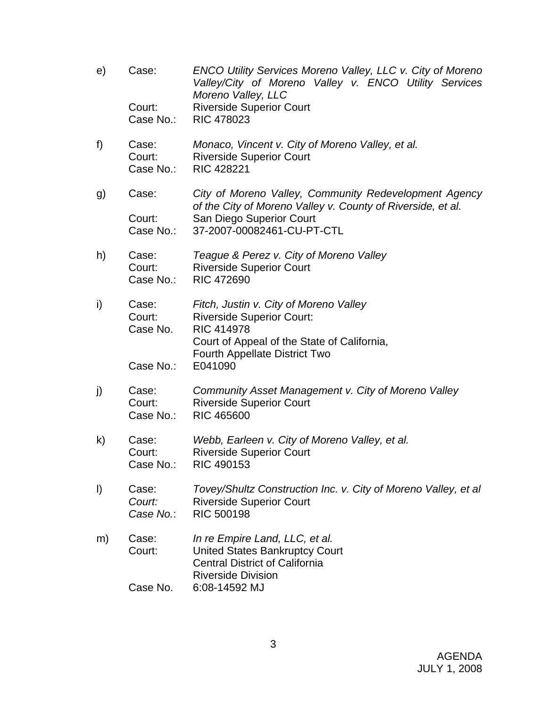e) Case: *ENCO Utility Services Moreno Valley, LLC v. City of Moreno Valley/City of Moreno Valley v. ENCO Utility Services Moreno Valley, LLC*  Court: Riverside Superior Court Case No.: RIC 478023 f) Case: *Monaco, Vincent v. City of Moreno Valley, et al.*  Court: Riverside Superior Court Case No.: RIC 428221 g) Case: *City of Moreno Valley, Community Redevelopment Agency of the City of Moreno Valley v. County of Riverside, et al.*  Court: San Diego Superior Court Case No.: 37-2007-00082461-CU-PT-CTL h) Case: *Teague & Perez v. City of Moreno Valley* Court: Riverside Superior Court Case No.: RIC 472690 i) Case: *Fitch, Justin v. City of Moreno Valley*  Court: Riverside Superior Court: Case No. RIC 414978 Court of Appeal of the State of California, Fourth Appellate District Two Case No.: E041090 j) Case: *Community Asset Management v. City of Moreno Valley* Court: Riverside Superior Court Case No.: RIC 465600 k) Case: *Webb, Earleen v. City of Moreno Valley, et al.* Court: Riverside Superior Court Case No.: RIC 490153 l) Case: *Tovey/Shultz Construction Inc. v. City of Moreno Valley, et al Court:* Riverside Superior Court  *Case No.*: RIC 500198 m) Case: *In re Empire Land, LLC, et al.* Court: United States Bankruptcy Court Central District of California Riverside Division Case No. 6:08-14592 MJ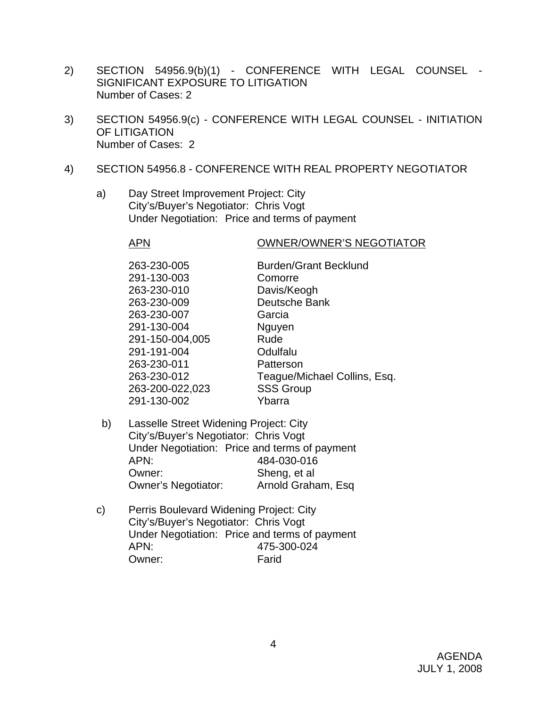- 2) SECTION 54956.9(b)(1) CONFERENCE WITH LEGAL COUNSEL SIGNIFICANT EXPOSURE TO LITIGATION Number of Cases: 2
- 3) SECTION 54956.9(c) CONFERENCE WITH LEGAL COUNSEL INITIATION OF LITIGATION Number of Cases: 2
- 4) SECTION 54956.8 CONFERENCE WITH REAL PROPERTY NEGOTIATOR
	- a) Day Street Improvement Project: City City's/Buyer's Negotiator: Chris Vogt Under Negotiation: Price and terms of payment

#### APN OWNER/OWNER'S NEGOTIATOR

| 263-230-005     | <b>Burden/Grant Becklund</b> |
|-----------------|------------------------------|
|                 |                              |
| 291-130-003     | Comorre                      |
| 263-230-010     | Davis/Keogh                  |
| 263-230-009     | Deutsche Bank                |
| 263-230-007     | Garcia                       |
| 291-130-004     | Nguyen                       |
| 291-150-004,005 | Rude                         |
| 291-191-004     | Odulfalu                     |
| 263-230-011     | Patterson                    |
| 263-230-012     | Teague/Michael Collins, Esq. |
| 263-200-022,023 | <b>SSS Group</b>             |
| 291-130-002     | Ybarra                       |
|                 |                              |

- b) Lasselle Street Widening Project: City City's/Buyer's Negotiator: Chris Vogt Under Negotiation: Price and terms of payment APN: 484-030-016 Owner: Sheng, et al Owner's Negotiator: Arnold Graham, Esq
- c) Perris Boulevard Widening Project: City City's/Buyer's Negotiator: Chris Vogt Under Negotiation: Price and terms of payment APN: 475-300-024 Owner: Farid